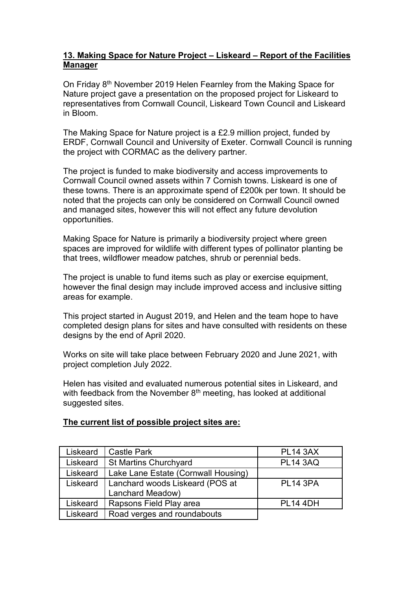## **13. Making Space for Nature Project – Liskeard – Report of the Facilities Manager**

On Friday 8<sup>th</sup> November 2019 Helen Fearnley from the Making Space for Nature project gave a presentation on the proposed project for Liskeard to representatives from Cornwall Council, Liskeard Town Council and Liskeard in Bloom.

The Making Space for Nature project is a £2.9 million project, funded by ERDF, Cornwall Council and University of Exeter. Cornwall Council is running the project with CORMAC as the delivery partner.

The project is funded to make biodiversity and access improvements to Cornwall Council owned assets within 7 Cornish towns. Liskeard is one of these towns. There is an approximate spend of £200k per town. It should be noted that the projects can only be considered on Cornwall Council owned and managed sites, however this will not effect any future devolution opportunities.

Making Space for Nature is primarily a biodiversity project where green spaces are improved for wildlife with different types of pollinator planting be that trees, wildflower meadow patches, shrub or perennial beds.

The project is unable to fund items such as play or exercise equipment, however the final design may include improved access and inclusive sitting areas for example.

This project started in August 2019, and Helen and the team hope to have completed design plans for sites and have consulted with residents on these designs by the end of April 2020.

Works on site will take place between February 2020 and June 2021, with project completion July 2022.

Helen has visited and evaluated numerous potential sites in Liskeard, and with feedback from the November  $8<sup>th</sup>$  meeting, has looked at additional suggested sites.

## **The current list of possible project sites are:**

| Liskeard | Castle Park                         | <b>PL14 3AX</b> |
|----------|-------------------------------------|-----------------|
| Liskeard | St Martins Churchyard               | <b>PL14 3AQ</b> |
| Liskeard | Lake Lane Estate (Cornwall Housing) |                 |
| Liskeard | Lanchard woods Liskeard (POS at     | <b>PL14 3PA</b> |
|          | Lanchard Meadow)                    |                 |
| Liskeard | Rapsons Field Play area             | <b>PL14 4DH</b> |
| Liskeard | Road verges and roundabouts         |                 |